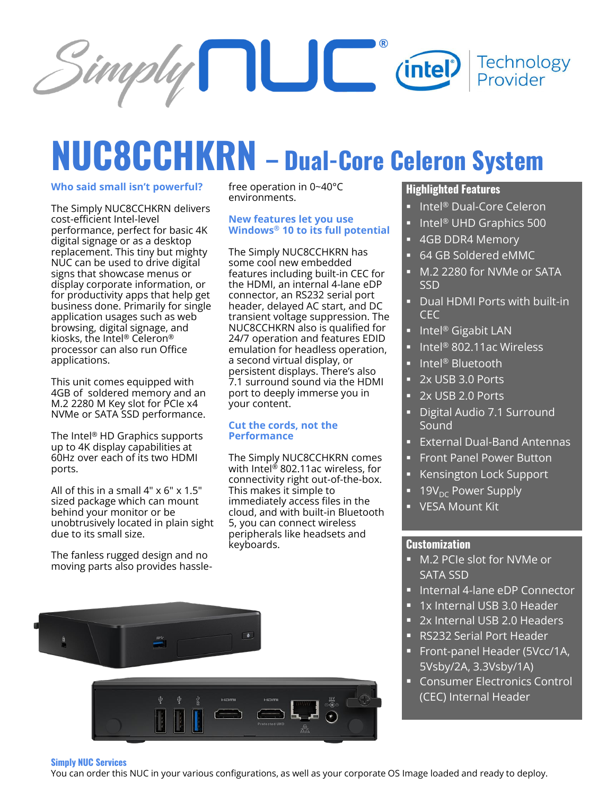

# **NUC8CCHKRN – Dual-Core Celeron System**

#### **Who said small isn't powerful?**

The Simply NUC8CCHKRN delivers cost-efficient Intel-level performance, perfect for basic 4K digital signage or as a desktop replacement. This tiny but mighty NUC can be used to drive digital signs that showcase menus or display corporate information, or for productivity apps that help get business done. Primarily for single application usages such as web browsing, digital signage, and kiosks, the Intel® Celeron® processor can also run Office applications.

This unit comes equipped with 4GB of soldered memory and an M.2 2280 M Key slot for PCIe x4 NVMe or SATA SSD performance.

The Intel® HD Graphics supports up to 4K display capabilities at 60Hz over each of its two HDMI ports.

All of this in a small  $4" \times 6" \times 1.5"$ sized package which can mount behind your monitor or be unobtrusively located in plain sight due to its small size.

The fanless rugged design and no moving parts also provides hasslefree operation in 0~40°C environments.

#### **New features let you use Windows® 10 to its full potential**

The Simply NUC8CCHKRN has some cool new embedded features including built-in CEC for the HDMI, an internal 4-lane eDP connector, an RS232 serial port header, delayed AC start, and DC transient voltage suppression. The NUC8CCHKRN also is qualified for 24/7 operation and features EDID emulation for headless operation, a second virtual display, or persistent displays. There's also 7.1 surround sound via the HDMI port to deeply immerse you in your content.

#### **Cut the cords, not the Performance**

The Simply NUC8CCHKRN comes with Intel<sup>®</sup> 802.11ac wireless, for connectivity right out-of-the-box. This makes it simple to immediately access files in the cloud, and with built-in Bluetooth 5, you can connect wireless peripherals like headsets and keyboards.



- Intel® Dual-Core Celeron
- Intel<sup>®</sup> UHD Graphics 500
- 4GB DDR4 Memory
- 64 GB Soldered eMMC
- M.2 2280 for NVMe or SATA SSD
- Dual HDMI Ports with built-in CEC
- Intel<sup>®</sup> Gigabit LAN
- Intel® 802.11ac Wireless
- Intel® Bluetooth
- 2x USB 3.0 Ports
- 2x USB 2.0 Ports
- Digital Audio 7.1 Surround Sound
- External Dual-Band Antennas
- **Front Panel Power Button**
- **Kensington Lock Support**
- 19 $V_{DC}$  Power Supply
- VESA Mount Kit

#### **Customization**

- M.2 PCIe slot for NVMe or SATA SSD
- Internal 4-lane eDP Connector
- 1x Internal USB 3.0 Header
- 2x Internal USB 2.0 Headers
- RS232 Serial Port Header
- Front-panel Header (5Vcc/1A, 5Vsby/2A, 3.3Vsby/1A)
- **EXECONSUMER Electronics Control** (CEC) Internal Header



#### **Simply NUC Services**

You can order this NUC in your various configurations, as well as your corporate OS Image loaded and ready to deploy.